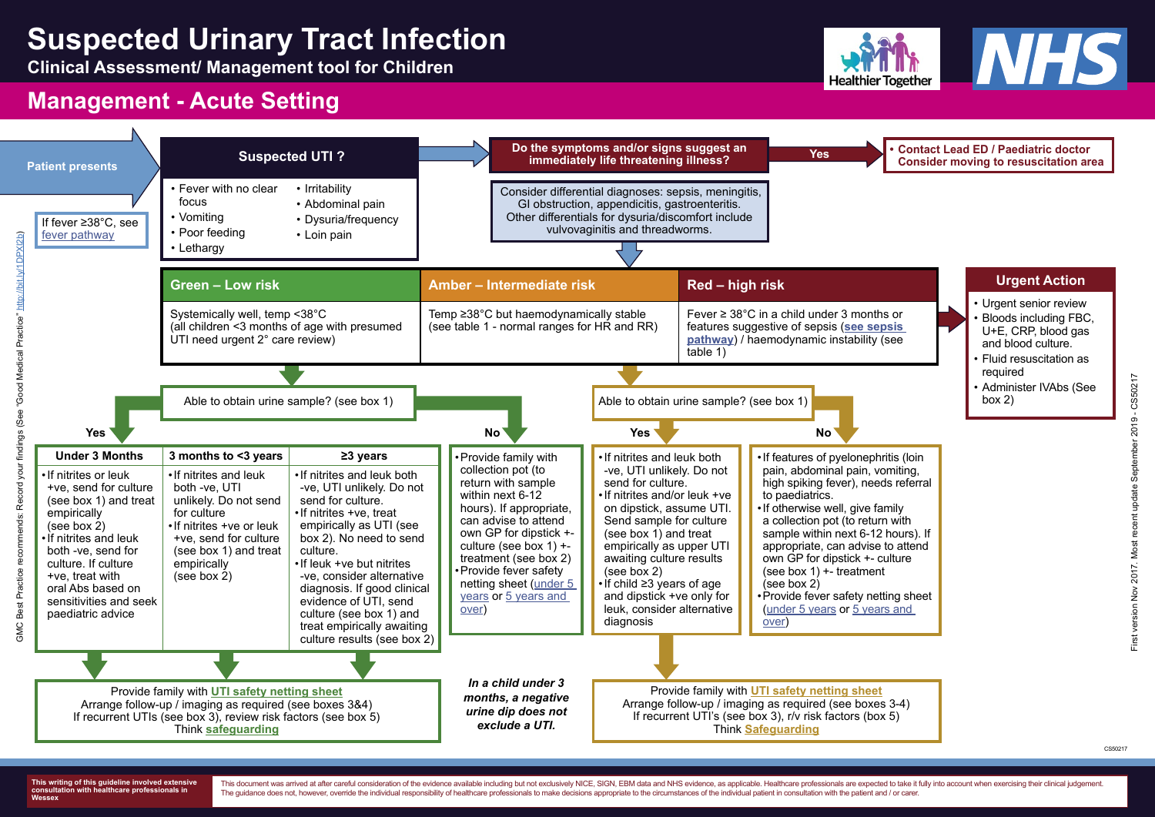# **Suspected Urinary Tract Infection**

**Clinical Assessment/ Management tool for Children**



## **Management - Acute Setting**

**This writing of this guideline involved extensive consultation with healthcare professionals in Wessex**

This document was arrived at after careful consideration of the evidence available including but not exclusively NICE, SIGN, EBM data and NHS evidence, as applicable. Healthcare professionals are expected to take it fully The guidance does not, however, override the individual responsibility of healthcare professionals to make decisions appropriate to the circumstances of the individual patient in consultation with the patient and / or care